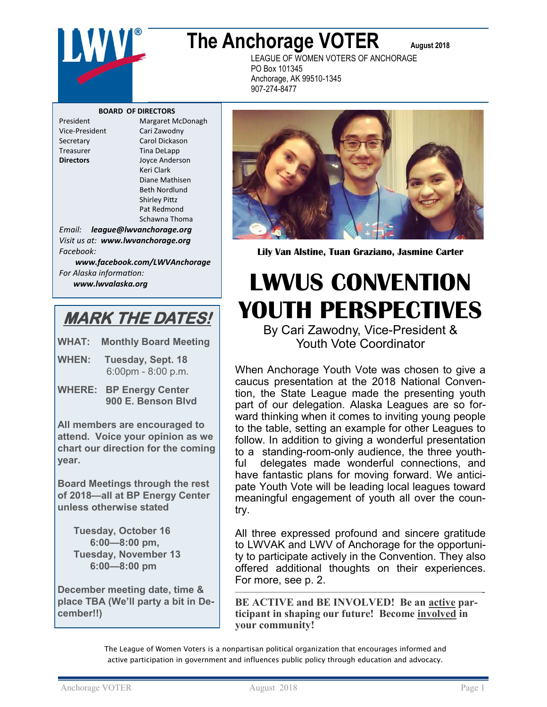

# **The Anchorage VOTER** August 2018

LEAGUE OF WOMEN VOTERS OF ANCHORAGE PO Box 101345 Anchorage, AK 99510-1345 907-274-8477

#### **BOARD OF DIRECTORS**

President Margaret McDonagh Vice-President Cari Zawodny Secretary Carol Dickason Treasurer Tina DeLapp **Directors** Joyce Anderson Keri Clark Diane Mathisen Beth Nordlund Shirley Pittz Pat Redmond Schawna Thoma

*Email: league@lwvanchorage.org Visit us at: www.lwvanchorage.org Facebook:* 

*www.facebook.com/LWVAnchorage For Alaska information: www.lwvalaska.org*

### **MARK THE DATES!**

**WHAT: Monthly Board Meeting**

- **WHEN: Tuesday, Sept. 18** 6:00pm - 8:00 p.m.
- **WHERE: BP Energy Center 900 E. Benson Blvd**

**All members are encouraged to attend. Voice your opinion as we chart our direction for the coming year.** 

**Board Meetings through the rest of 2018—all at BP Energy Center unless otherwise stated**

**Tuesday, October 16 6:00—8:00 pm, Tuesday, November 13 6:00—8:00 pm**

**December meeting date, time & place TBA (We'll party a bit in December!!)**



**Lily Van Alstine, Tuan Graziano, Jasmine Carter** 

## **LWVUS CONVENTION YOUTH PERSPECTIVES**  By Cari Zawodny, Vice-President &

Youth Vote Coordinator

When Anchorage Youth Vote was chosen to give a caucus presentation at the 2018 National Convention, the State League made the presenting youth part of our delegation. Alaska Leagues are so forward thinking when it comes to inviting young people to the table, setting an example for other Leagues to follow. In addition to giving a wonderful presentation to a standing-room-only audience, the three youthful delegates made wonderful connections, and have fantastic plans for moving forward. We anticipate Youth Vote will be leading local leagues toward meaningful engagement of youth all over the country.

All three expressed profound and sincere gratitude to LWVAK and LWV of Anchorage for the opportunity to participate actively in the Convention. They also offered additional thoughts on their experiences. For more, see p. 2. ———————————————————————-

**BE ACTIVE and BE INVOLVED! Be an active participant in shaping our future! Become involved in your community!**

The League of Women Voters is a nonpartisan political organization that encourages informed and active participation in government and influences public policy through education and advocacy.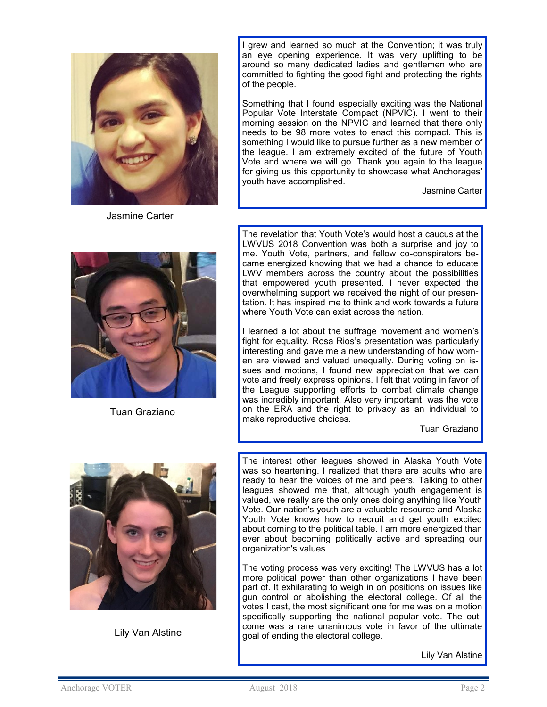

Jasmine Carter

I grew and learned so much at the Convention; it was truly an eye opening experience. It was very uplifting to be around so many dedicated ladies and gentlemen who are committed to fighting the good fight and protecting the rights of the people.

Something that I found especially exciting was the National Popular Vote Interstate Compact (NPVIC). I went to their morning session on the NPVIC and learned that there only needs to be 98 more votes to enact this compact. This is something I would like to pursue further as a new member of the league. I am extremely excited of the future of Youth Vote and where we will go. Thank you again to the league for giving us this opportunity to showcase what Anchorages' youth have accomplished.

Jasmine Carter



Tuan Graziano

The revelation that Youth Vote's would host a caucus at the LWVUS 2018 Convention was both a surprise and joy to me. Youth Vote, partners, and fellow co-conspirators became energized knowing that we had a chance to educate LWV members across the country about the possibilities that empowered youth presented. I never expected the overwhelming support we received the night of our presentation. It has inspired me to think and work towards a future where Youth Vote can exist across the nation.

I learned a lot about the suffrage movement and women's fight for equality. Rosa Rios's presentation was particularly interesting and gave me a new understanding of how women are viewed and valued unequally. During voting on issues and motions, I found new appreciation that we can vote and freely express opinions. I felt that voting in favor of the League supporting efforts to combat climate change was incredibly important. Also very important was the vote on the ERA and the right to privacy as an individual to make reproductive choices.

Tuan Graziano



Lily Van Alstine

The interest other leagues showed in Alaska Youth Vote was so heartening. I realized that there are adults who are ready to hear the voices of me and peers. Talking to other leagues showed me that, although youth engagement is valued, we really are the only ones doing anything like Youth Vote. Our nation's youth are a valuable resource and Alaska Youth Vote knows how to recruit and get youth excited about coming to the political table. I am more energized than ever about becoming politically active and spreading our organization's values.

The voting process was very exciting! The LWVUS has a lot more political power than other organizations I have been part of. It exhilarating to weigh in on positions on issues like gun control or abolishing the electoral college. Of all the votes I cast, the most significant one for me was on a motion specifically supporting the national popular vote. The outcome was a rare unanimous vote in favor of the ultimate goal of ending the electoral college.

Lily Van Alstine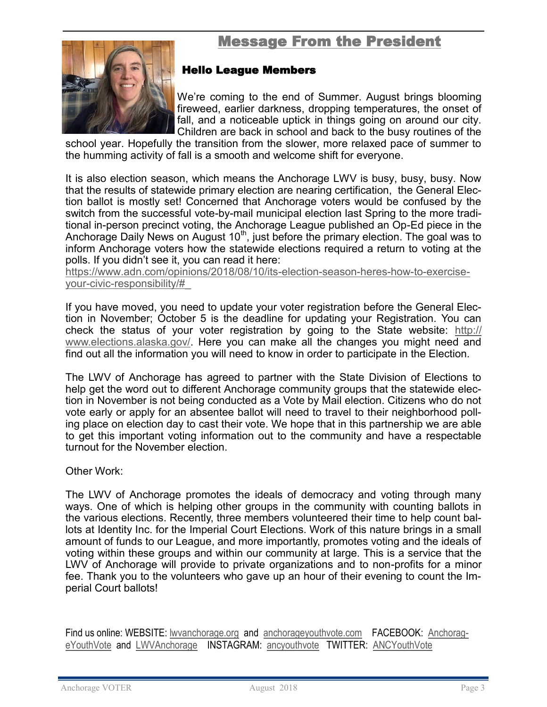### Message From the President Ϊ

<span id="page-2-0"></span>

#### Hello League Members

We're coming to the end of Summer. August brings blooming fireweed, earlier darkness, dropping temperatures, the onset of fall, and a noticeable uptick in things going on around our city. Children are back in school and back to the busy routines of the

school year. Hopefully the transition from the slower, more relaxed pace of summer to the humming activity of fall is a smooth and welcome shift for everyone.

It is also election season, which means the Anchorage LWV is busy, busy, busy. Now that the results of statewide primary election are nearing certification, the General Election ballot is mostly set! Concerned that Anchorage voters would be confused by the switch from the successful vote-by-mail municipal election last Spring to the more traditional in-person precinct voting, the Anchorage League published an Op-Ed piece in the Anchorage Daily News on August  $10<sup>th</sup>$ , just before the primary election. The goal was to inform Anchorage voters how the statewide elections required a return to voting at the polls. If you didn't see it, you can read it here:

[https://www.adn.com/opinions/2018/08/10/its](https://www.adn.com/opinions/2018/08/10/its-election-season-heres-how-to-exercise-your-civic-responsibility/#_)-election-season-heres-how-to-exerciseyour-civic-[responsibility/#\\_](https://www.adn.com/opinions/2018/08/10/its-election-season-heres-how-to-exercise-your-civic-responsibility/#_)

If you have moved, you need to update your voter registration before the General Election in November; October 5 is the deadline for updating your Registration. You can check the status of your voter registration by going to the State website: [http://](http://www.elections.alaska.gov/) [www.elections.alaska.gov/.](http://www.elections.alaska.gov/) Here you can make all the changes you might need and find out all the information you will need to know in order to participate in the Election.

The LWV of Anchorage has agreed to partner with the State Division of Elections to help get the word out to different Anchorage community groups that the statewide election in November is not being conducted as a Vote by Mail election. Citizens who do not vote early or apply for an absentee ballot will need to travel to their neighborhood polling place on election day to cast their vote. We hope that in this partnership we are able to get this important voting information out to the community and have a respectable turnout for the November election.

Other Work:

The LWV of Anchorage promotes the ideals of democracy and voting through many ways. One of which is helping other groups in the community with counting ballots in the various elections. Recently, three members volunteered their time to help count ballots at Identity Inc. for the Imperial Court Elections. Work of this nature brings in a small amount of funds to our League, and more importantly, promotes voting and the ideals of voting within these groups and within our community at large. This is a service that the LWV of Anchorage will provide to private organizations and to non-profits for a minor fee. Thank you to the volunteers who gave up an hour of their evening to count the Imperial Court ballots!

Find us online: WEBSITE: [lwvanchorage.org](#page-2-0) and [anchorageyouthvote.com](#page-2-0) FACEBOOK: [Anchorag](#page-2-0)[eYouthVote](#page-2-0) and [LWVAnchorage](#page-2-0) INSTAGRAM: [ancyouthvote](#page-2-0) TWITTER: [ANCYouthVote](#page-2-0)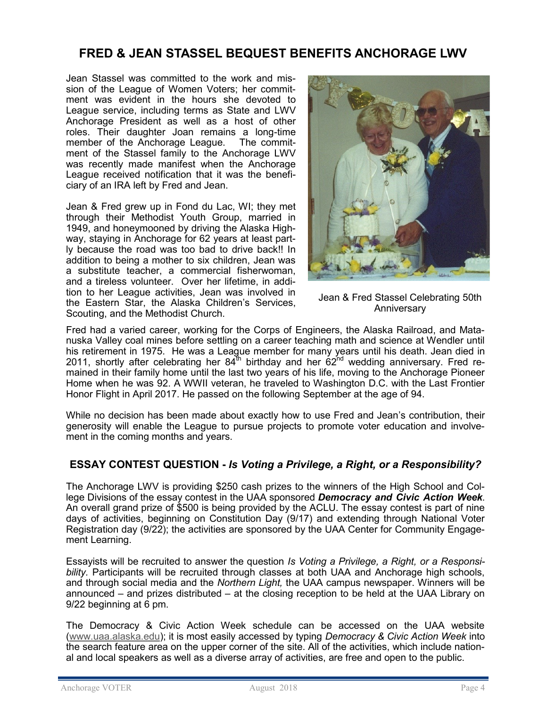#### **FRED & JEAN STASSEL BEQUEST BENEFITS ANCHORAGE LWV**

Jean Stassel was committed to the work and mission of the League of Women Voters; her commitment was evident in the hours she devoted to League service, including terms as State and LWV Anchorage President as well as a host of other roles. Their daughter Joan remains a long-time member of the Anchorage League. The commitment of the Stassel family to the Anchorage LWV was recently made manifest when the Anchorage League received notification that it was the beneficiary of an IRA left by Fred and Jean.

Jean & Fred grew up in Fond du Lac, WI; they met through their Methodist Youth Group, married in 1949, and honeymooned by driving the Alaska Highway, staying in Anchorage for 62 years at least partly because the road was too bad to drive back!! In addition to being a mother to six children, Jean was a substitute teacher, a commercial fisherwoman, and a tireless volunteer. Over her lifetime, in addition to her League activities, Jean was involved in the Eastern Star, the Alaska Children's Services, Scouting, and the Methodist Church.



Jean & Fred Stassel Celebrating 50th Anniversary

Fred had a varied career, working for the Corps of Engineers, the Alaska Railroad, and Matanuska Valley coal mines before settling on a career teaching math and science at Wendler until his retirement in 1975. He was a League member for many years until his death. Jean died in 2011, shortly after celebrating her  $84^{\text{th}}$  birthday and her  $62^{\text{nd}}$  wedding anniversary. Fred remained in their family home until the last two years of his life, moving to the Anchorage Pioneer Home when he was 92. A WWII veteran, he traveled to Washington D.C. with the Last Frontier Honor Flight in April 2017. He passed on the following September at the age of 94.

While no decision has been made about exactly how to use Fred and Jean's contribution, their generosity will enable the League to pursue projects to promote voter education and involvement in the coming months and years.

#### **ESSAY CONTEST QUESTION -** *Is Voting a Privilege, a Right, or a Responsibility?*

The Anchorage LWV is providing \$250 cash prizes to the winners of the High School and College Divisions of the essay contest in the UAA sponsored *Democracy and Civic Action Week*. An overall grand prize of \$500 is being provided by the ACLU. The essay contest is part of nine days of activities, beginning on Constitution Day (9/17) and extending through National Voter Registration day (9/22); the activities are sponsored by the UAA Center for Community Engagement Learning.

Essayists will be recruited to answer the question *Is Voting a Privilege, a Right, or a Responsibility.* Participants will be recruited through classes at both UAA and Anchorage high schools, and through social media and the *Northern Light,* the UAA campus newspaper. Winners will be announced – and prizes distributed – at the closing reception to be held at the UAA Library on 9/22 beginning at 6 pm.

The Democracy & Civic Action Week schedule can be accessed on the UAA website ([www.uaa.alaska.edu\);](http://www.uaa.alaska.edu) it is most easily accessed by typing *Democracy & Civic Action Week* into the search feature area on the upper corner of the site. All of the activities, which include national and local speakers as well as a diverse array of activities, are free and open to the public.